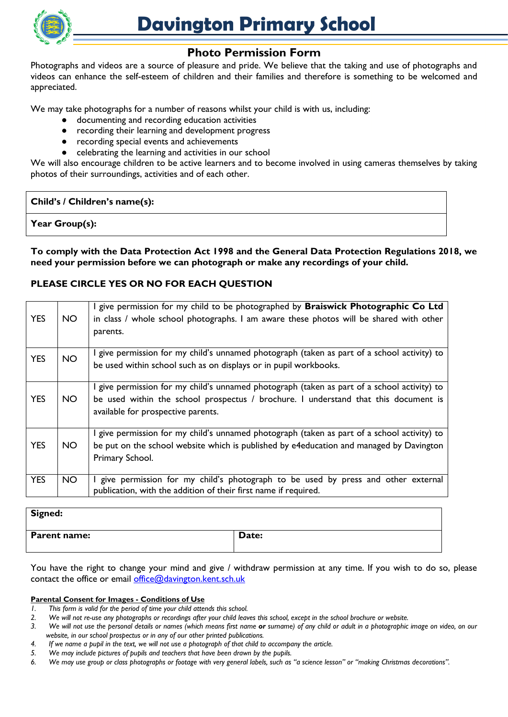

# **Photo Permission Form**

Photographs and videos are a source of pleasure and pride. We believe that the taking and use of photographs and videos can enhance the self-esteem of children and their families and therefore is something to be welcomed and appreciated.

We may take photographs for a number of reasons whilst your child is with us, including:

- documenting and recording education activities
- recording their learning and development progress
- recording special events and achievements
- celebrating the learning and activities in our school

We will also encourage children to be active learners and to become involved in using cameras themselves by taking photos of their surroundings, activities and of each other.

### **Child's / Children's name(s):**

**Year Group(s):**

**To comply with the Data Protection Act 1998 and the General Data Protection Regulations 2018, we need your permission before we can photograph or make any recordings of your child.** 

## **PLEASE CIRCLE YES OR NO FOR EACH QUESTION**

| <b>YES</b> | NO. | I give permission for my child to be photographed by Braiswick Photographic Co Ltd<br>in class / whole school photographs. I am aware these photos will be shared with other<br>parents.                                 |
|------------|-----|--------------------------------------------------------------------------------------------------------------------------------------------------------------------------------------------------------------------------|
| <b>YES</b> | NO. | I give permission for my child's unnamed photograph (taken as part of a school activity) to<br>be used within school such as on displays or in pupil workbooks.                                                          |
| <b>YES</b> | NO. | I give permission for my child's unnamed photograph (taken as part of a school activity) to<br>be used within the school prospectus / brochure. I understand that this document is<br>available for prospective parents. |
| <b>YES</b> | NO. | I give permission for my child's unnamed photograph (taken as part of a school activity) to<br>be put on the school website which is published by e4education and managed by Davington<br>Primary School.                |
| <b>YES</b> | NO. | I give permission for my child's photograph to be used by press and other external<br>publication, with the addition of their first name if required.                                                                    |

# **Signed: Parent name:** Date:

You have the right to change your mind and give / withdraw permission at any time. If you wish to do so, please contact the office or email [office@davington.kent.sch.uk](mailto:office@davington.kent.sch.uk)

#### **Parental Consent for Images - Conditions of Use**

- *1. This form is valid for the period of time your child attends this school.*
- *2. We will not re-use any photographs or recordings after your child leaves this school, except in the school brochure or website.*
- 3. We will not use the personal details or names (which means first name or surname) of any child or adult in a photographic image on video, on our *website, in our school prospectus or in any of our other printed publications.*
- *4. If we name a pupil in the text, we will not use a photograph of that child to accompany the article.*
- *5. We may include pictures of pupils and teachers that have been drawn by the pupils.*
- *6. We may use group or class photographs or footage with very general labels, such as "a science lesson" or "making Christmas decorations".*